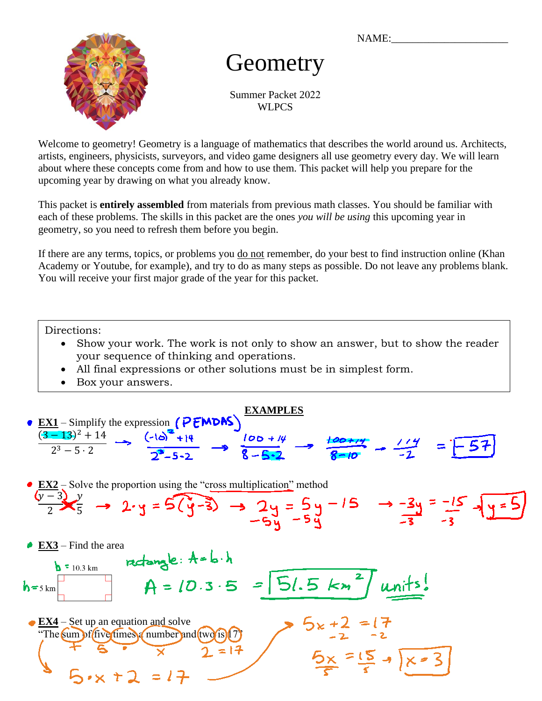NAME:



# **Geometry**

Summer Packet 2022 **WLPCS** 

Welcome to geometry! Geometry is a language of mathematics that describes the world around us. Architects, artists, engineers, physicists, surveyors, and video game designers all use geometry every day. We will learn about where these concepts come from and how to use them. This packet will help you prepare for the upcoming year by drawing on what you already know.

This packet is **entirely assembled** from materials from previous math classes. You should be familiar with each of these problems. The skills in this packet are the ones *you will be using* this upcoming year in geometry, so you need to refresh them before you begin.

If there are any terms, topics, or problems you do not remember, do your best to find instruction online (Khan Academy or Youtube, for example), and try to do as many steps as possible. Do not leave any problems blank. You will receive your first major grade of the year for this packet.

Directions:

- Show your work. The work is not only to show an answer, but to show the reader your sequence of thinking and operations.
- All final expressions or other solutions must be in simplest form.
- Box your answers.

**EXAMPLES EX1** – Simplify the expression  $(P F W D A S)$  $(3-13)^2 + 14$  $(-10)^{2} + 14$  $2^3 - 5 \cdot 2$  $2$  – Solve the proportion using the "cross multiplication" method  $y-3$  $\mathcal{Y}$ = 2 5

**EX3** – Find the area

$$
h = 5 \text{ km}
$$
  
\n
$$
h = 10.3 \text{ km}
$$
  
\n
$$
h = 10.3 \cdot 5 = 5 \cdot 15 \cdot 15 = 4
$$
  
\n
$$
h = 10.3 \cdot 5 = 5 \cdot 15 = 17
$$
  
\n
$$
h = 10.3 \cdot 5 = 15 \cdot 15 = 17
$$
  
\n
$$
h = 10.3 \cdot 5 = 17
$$
  
\n
$$
h = 10.3 \cdot 5 = 17
$$
  
\n
$$
h = 10.3 \cdot 5 = 17
$$
  
\n
$$
h = 10.3 \cdot 5 = 17
$$
  
\n
$$
h = 10.3 \cdot 5 = 17
$$
  
\n
$$
h = 10.3 \cdot 5 = 17
$$
  
\n
$$
h = 10.3 \cdot 5 = 17
$$
  
\n
$$
h = 10.3 \cdot 5 = 17
$$
  
\n
$$
h = 10.3 \cdot 5 = 17
$$
  
\n
$$
h = 10.3 \cdot 5 = 17
$$
  
\n
$$
h = 10.3 \cdot 5 = 17
$$
  
\n
$$
h = 10.3 \cdot 5 = 17
$$
  
\n
$$
h = 10.3 \cdot 5 = 17
$$
  
\n
$$
h = 10.3 \cdot 5 = 17
$$
  
\n
$$
h = 10.3 \cdot 5 = 17
$$
  
\n
$$
h = 10.3 \cdot 5 = 17
$$
  
\n
$$
h = 10.3 \cdot 5 = 17
$$
  
\n
$$
h = 10.3 \cdot 5 = 17
$$
  
\n
$$
h = 10.3 \cdot 5 = 17
$$
  
\n
$$
h = 10.3 \cdot 5 = 17
$$
  
\n
$$
h = 10.3 \cdot 5 = 17
$$
  
\n
$$
h = 10.3 \cdot 5 = 17
$$
  
\n
$$
h = 10.3 \cdot 5 =
$$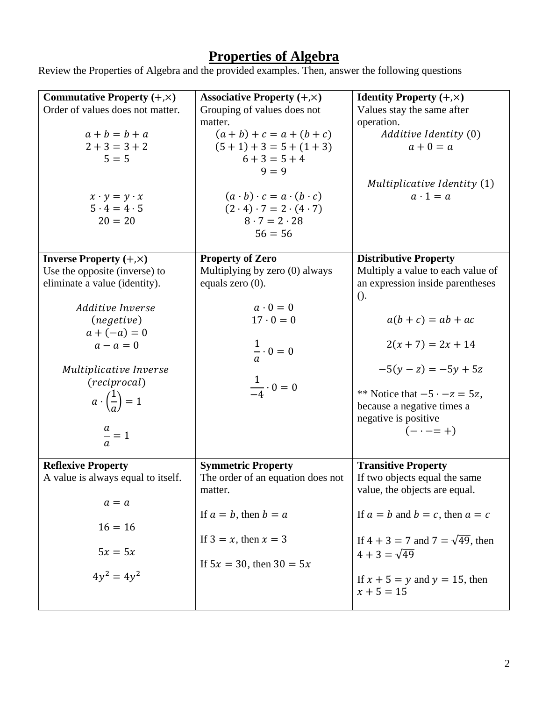#### **Properties of Algebra**

Review the Properties of Algebra and the provided examples. Then, answer the following questions

| Commutative Property $(+, \times)$<br>Order of values does not matter.<br>$a+b=b+a$<br>$2 + 3 = 3 + 2$<br>$5 = 5$                                                                                                                                                               | Associative Property $(+, \times)$<br>Grouping of values does not<br>matter.<br>$(a + b) + c = a + (b + c)$<br>$(5 + 1) + 3 = 5 + (1 + 3)$<br>$6 + 3 = 5 + 4$<br>$9 = 9$          | <b>Identity Property</b> $(+, \times)$<br>Values stay the same after<br>operation.<br>Additive Identity (0)<br>$a+0=a$                                                                                                                                                                              |
|---------------------------------------------------------------------------------------------------------------------------------------------------------------------------------------------------------------------------------------------------------------------------------|-----------------------------------------------------------------------------------------------------------------------------------------------------------------------------------|-----------------------------------------------------------------------------------------------------------------------------------------------------------------------------------------------------------------------------------------------------------------------------------------------------|
| $x \cdot y = y \cdot x$<br>$5 \cdot 4 = 4 \cdot 5$<br>$20 = 20$                                                                                                                                                                                                                 | $(a \cdot b) \cdot c = a \cdot (b \cdot c)$<br>$(2 \cdot 4) \cdot 7 = 2 \cdot (4 \cdot 7)$<br>$8 \cdot 7 = 2 \cdot 28$<br>$56 = 56$                                               | Multiplicative Identity (1)<br>$a \cdot 1 = a$                                                                                                                                                                                                                                                      |
| <b>Inverse Property</b> $(+, \times)$<br>Use the opposite (inverse) to<br>eliminate a value (identity).<br>Additive Inverse<br>(negative)<br>$a + (-a) = 0$<br>$a - a = 0$<br>Multiplicative Inverse<br>(reciprocal)<br>$a\cdot\left(\frac{1}{a}\right)=1$<br>$\frac{a}{a} = 1$ | <b>Property of Zero</b><br>Multiplying by zero (0) always<br>equals zero $(0)$ .<br>$a \cdot 0 = 0$<br>$17 \cdot 0 = 0$<br>$\frac{1}{a} \cdot 0 = 0$<br>$\frac{1}{4} \cdot 0 = 0$ | <b>Distributive Property</b><br>Multiply a value to each value of<br>an expression inside parentheses<br>$()$ .<br>$a(b+c) = ab + ac$<br>$2(x + 7) = 2x + 14$<br>$-5(y - z) = -5y + 5z$<br>** Notice that $-5 \cdot -z = 5z$ ,<br>because a negative times a<br>negative is positive<br>$(- - = +)$ |
| <b>Reflexive Property</b><br>A value is always equal to itself.<br>$a = a$<br>$16 = 16$<br>$5x = 5x$<br>$4y^2 = 4y^2$                                                                                                                                                           | <b>Symmetric Property</b><br>The order of an equation does not<br>matter.<br>If $a = b$ , then $b = a$<br>If $3 = x$ , then $x = 3$<br>If $5x = 30$ , then $30 = 5x$              | <b>Transitive Property</b><br>If two objects equal the same<br>value, the objects are equal.<br>If $a = b$ and $b = c$ , then $a = c$<br>If $4 + 3 = 7$ and $7 = \sqrt{49}$ , then<br>$4 + 3 = \sqrt{49}$<br>If $x + 5 = y$ and $y = 15$ , then<br>$x + 5 = 15$                                     |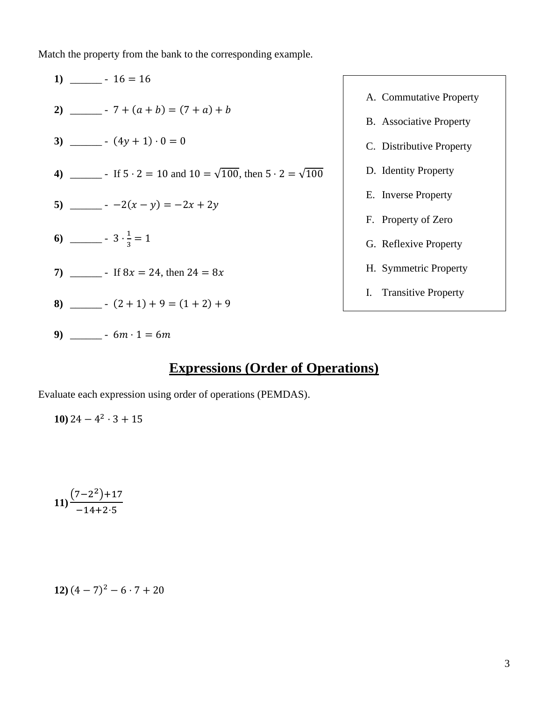Match the property from the bank to the corresponding example.



#### **Expressions (Order of Operations)**

Evaluate each expression using order of operations (PEMDAS).

**10**)  $24 - 4^2 \cdot 3 + 15$ 

$$
11) \frac{(7-2^2)+17}{-14+2.5}
$$

$$
12) (4-7)^2 - 6 \cdot 7 + 20
$$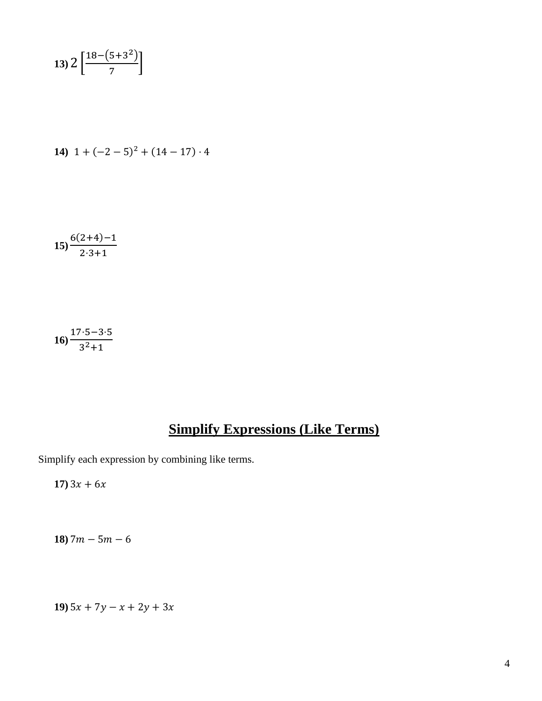$$
13)\,2\left[\frac{18-(5+3^2)}{7}\right]
$$

14) 
$$
1 + (-2 - 5)^2 + (14 - 17) \cdot 4
$$

$$
15) \frac{6(2+4)-1}{2\cdot 3+1}
$$

**16)** 17⋅5−3⋅5  $3^2 + 1$ 

# **Simplify Expressions (Like Terms)**

Simplify each expression by combining like terms.

**17**)  $3x + 6x$ 

**18**)  $7m - 5m - 6$ 

**19**)  $5x + 7y - x + 2y + 3x$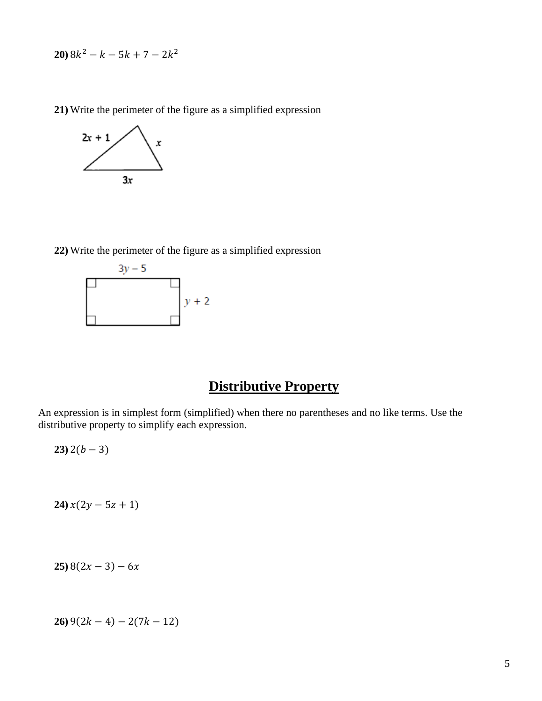$20)$   $8k^2 - k - 5k + 7 - 2k^2$ 

**21)** Write the perimeter of the figure as a simplified expression



**22)** Write the perimeter of the figure as a simplified expression



#### **Distributive Property**

An expression is in simplest form (simplified) when there no parentheses and no like terms. Use the distributive property to simplify each expression.

 $23)$  2( $b-3$ )

 $24) x(2y - 5z + 1)$ 

 $25)$  8(2x – 3) – 6x

 $26)$  9(2k – 4) – 2(7k – 12)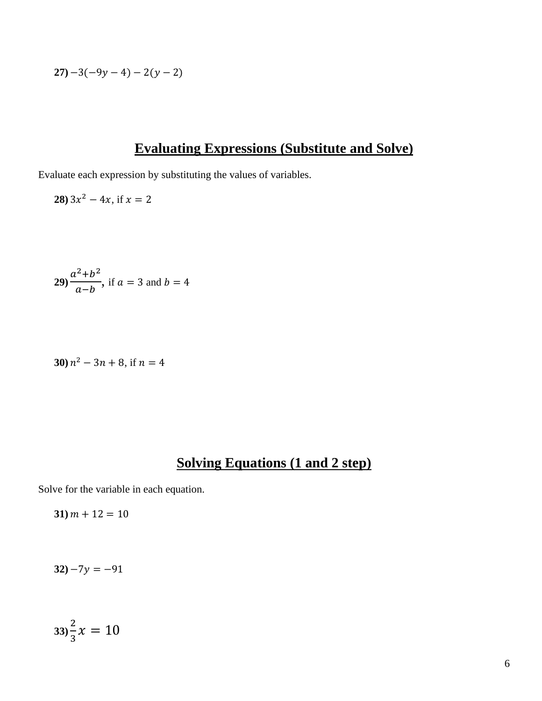$$
27)-3(-9y-4)-2(y-2)
$$

### **Evaluating Expressions (Substitute and Solve)**

Evaluate each expression by substituting the values of variables.

**28**)  $3x^2 - 4x$ , if  $x = 2$ 

**29** 
$$
\frac{a^2 + b^2}{a - b}
$$
, if  $a = 3$  and  $b = 4$ 

30) 
$$
n^2 - 3n + 8
$$
, if  $n = 4$ 

### **Solving Equations (1 and 2 step)**

Solve for the variable in each equation.

 $31) m + 12 = 10$ 

 $32) -7y = -91$ 

$$
33\frac{2}{3}x=10
$$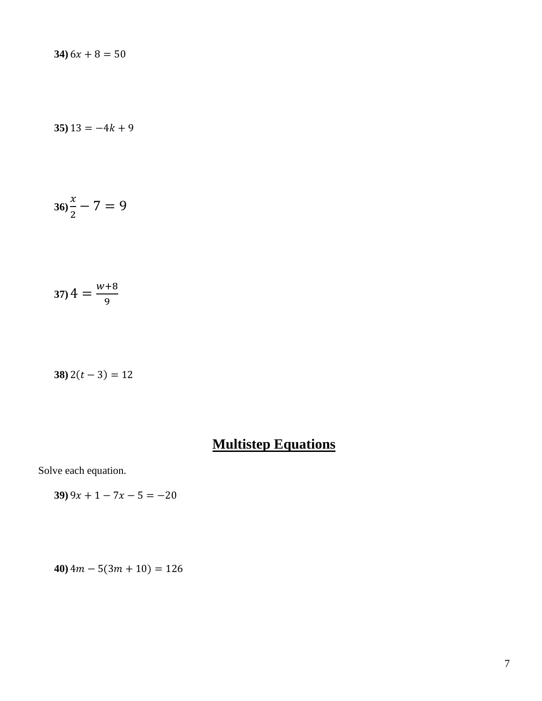$34) 6x + 8 = 50$ 

**35**)  $13 = -4k + 9$ 

$$
36\frac{x}{2} - 7 = 9
$$

$$
37) 4 = \frac{w+8}{9}
$$

**38**)  $2(t-3) = 12$ 

# **Multistep Equations**

Solve each equation.

 $39)$   $9x + 1 - 7x - 5 = -20$ 

 $40)$  4m – 5(3m + 10) = 126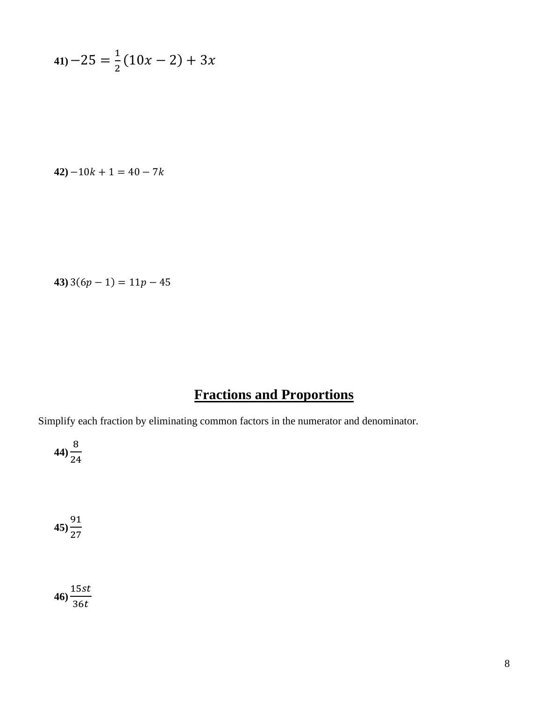$$
41) - 25 = \frac{1}{2}(10x - 2) + 3x
$$

$$
42) - 10k + 1 = 40 - 7k
$$

**43**)  $3(6p - 1) = 11p - 45$ 

# **Fractions and Proportions**

Simplify each fraction by eliminating common factors in the numerator and denominator.

$$
44)\frac{8}{24}
$$

**45)** 91 27

$$
46)\frac{15st}{36t}
$$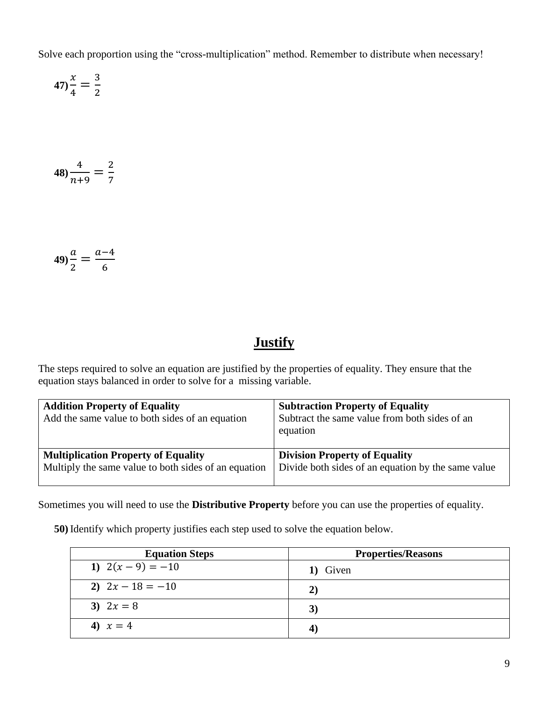Solve each proportion using the "cross-multiplication" method. Remember to distribute when necessary!

$$
47\frac{x}{4} = \frac{3}{2}
$$

$$
48)\frac{4}{n+9} = \frac{2}{7}
$$

$$
49)\frac{a}{2} = \frac{a-4}{6}
$$

# **Justify**

The steps required to solve an equation are justified by the properties of equality. They ensure that the equation stays balanced in order to solve for a missing variable.

| <b>Addition Property of Equality</b><br>Add the same value to both sides of an equation | <b>Subtraction Property of Equality</b><br>Subtract the same value from both sides of an<br>equation |
|-----------------------------------------------------------------------------------------|------------------------------------------------------------------------------------------------------|
| <b>Multiplication Property of Equality</b>                                              | <b>Division Property of Equality</b>                                                                 |
| Multiply the same value to both sides of an equation                                    | Divide both sides of an equation by the same value                                                   |

Sometimes you will need to use the **Distributive Property** before you can use the properties of equality.

**50)** Identify which property justifies each step used to solve the equation below.

| <b>Equation Steps</b> | <b>Properties/Reasons</b> |
|-----------------------|---------------------------|
| 1) $2(x-9) = -10$     | 1) Given                  |
| 2) $2x - 18 = -10$    | 2)                        |
| 3) $2x = 8$           | 3)                        |
| 4) $x = 4$            |                           |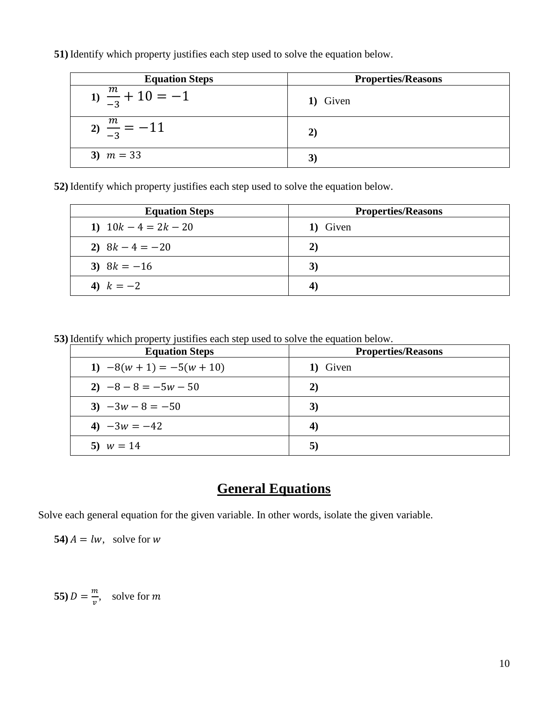**51)** Identify which property justifies each step used to solve the equation below.

| <b>Equation Steps</b>       | <b>Properties/Reasons</b> |
|-----------------------------|---------------------------|
| 1) $\frac{m}{-3} + 10 = -1$ | 1) Given                  |
| $\frac{m}{2} = -11$         | 2)                        |
| 3) $m = 33$                 |                           |

**52)** Identify which property justifies each step used to solve the equation below.

| <b>Equation Steps</b>  | <b>Properties/Reasons</b> |
|------------------------|---------------------------|
| 1) $10k - 4 = 2k - 20$ | 1) Given                  |
| 2) $8k - 4 = -20$      | 2)                        |
| 3) $8k = -16$          | 3)                        |
| 4) $k = -2$            | 4                         |

**53)** Identify which property justifies each step used to solve the equation below.

| <b>Equation Steps</b>       | <b>Properties/Reasons</b> |
|-----------------------------|---------------------------|
| 1) $-8(w + 1) = -5(w + 10)$ | 1) Given                  |
| 2) $-8 - 8 = -5w - 50$      | 2)                        |
| 3) $-3w - 8 = -50$          | 3)                        |
| 4) $-3w = -42$              | 4)                        |
| 5) $w = 14$                 | 5)                        |

### **General Equations**

Solve each general equation for the given variable. In other words, isolate the given variable.

**54**)  $A = lw$ , solve for w

**55**)  $D = \frac{m}{n}$  $\frac{m}{v}$ , solve for m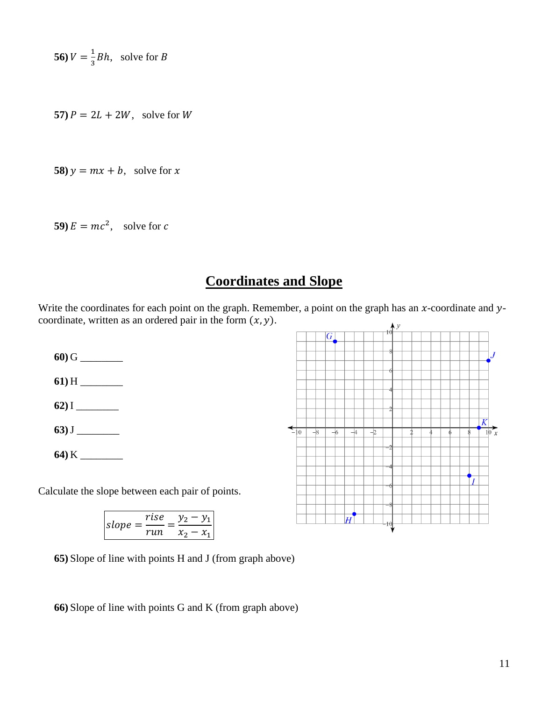56) 
$$
V = \frac{1}{3}Bh
$$
, solve for B

**57**)  $P = 2L + 2W$ , solve for W

**58**)  $y = mx + b$ , solve for x

**59**)  $E = mc^2$ , solve for c

#### **Coordinates and Slope**

Write the coordinates for each point on the graph. Remember, a point on the graph has an  $x$ -coordinate and  $y$ coordinate, written as an ordered pair in the form  $(x, y)$ .

- **60)** G \_\_\_\_\_\_\_\_
- **61)** H \_\_\_\_\_\_\_\_
- **62)** I \_\_\_\_\_\_\_\_
- **63)**J \_\_\_\_\_\_\_\_
- **64)** K \_\_\_\_\_\_\_\_

Calculate the slope between each pair of points.

$$
slope = \frac{rise}{run} = \frac{y_2 - y_1}{x_2 - x_1}
$$

**65)** Slope of line with points H and J (from graph above)

**66)** Slope of line with points G and K (from graph above)

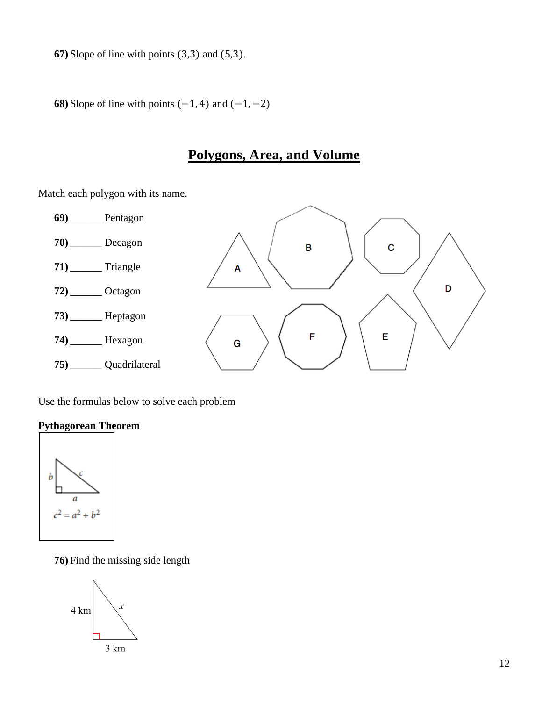**67)** Slope of line with points (3,3) and (5,3).

**68**) Slope of line with points  $(-1, 4)$  and  $(-1, -2)$ 

### **Polygons, Area, and Volume**

Match each polygon with its name.



Use the formulas below to solve each problem

#### **Pythagorean Theorem**



**76)** Find the missing side length

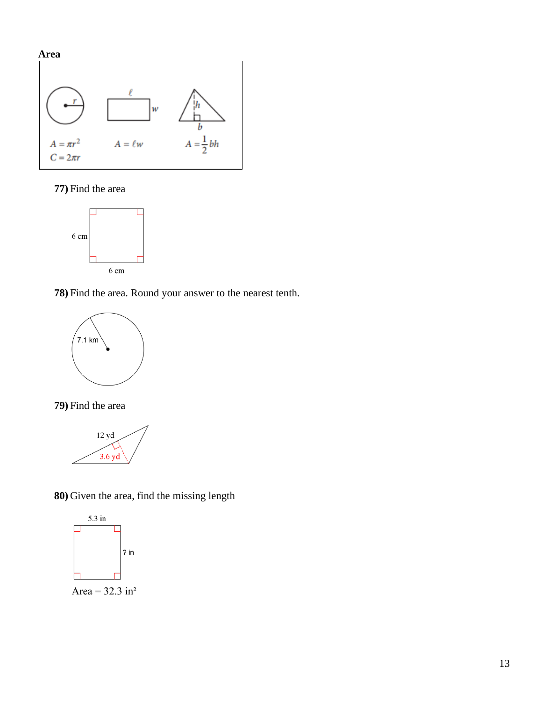

#### **77)** Find the area



**78)** Find the area. Round your answer to the nearest tenth.



**79)** Find the area



**80)** Given the area, find the missing length



Area =  $32.3 \text{ in}^2$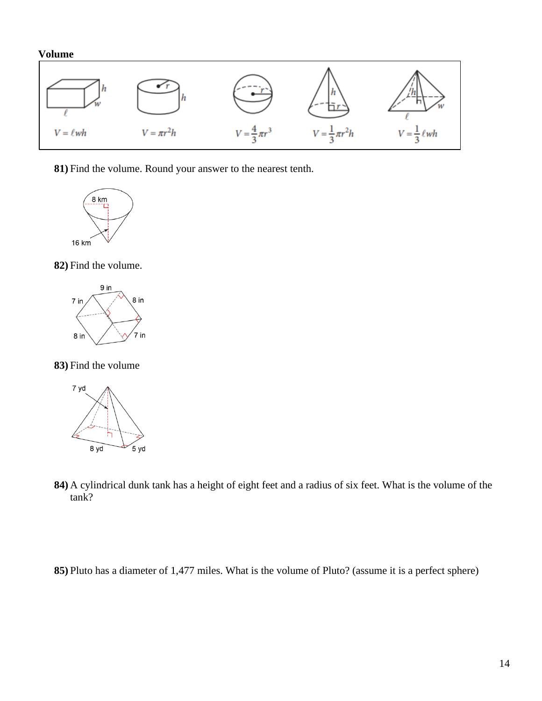#### **Volume**



**81)** Find the volume. Round your answer to the nearest tenth.



**82)** Find the volume.



**83)** Find the volume



- **84)** A cylindrical dunk tank has a height of eight feet and a radius of six feet. What is the volume of the tank?
- **85)** Pluto has a diameter of 1,477 miles. What is the volume of Pluto? (assume it is a perfect sphere)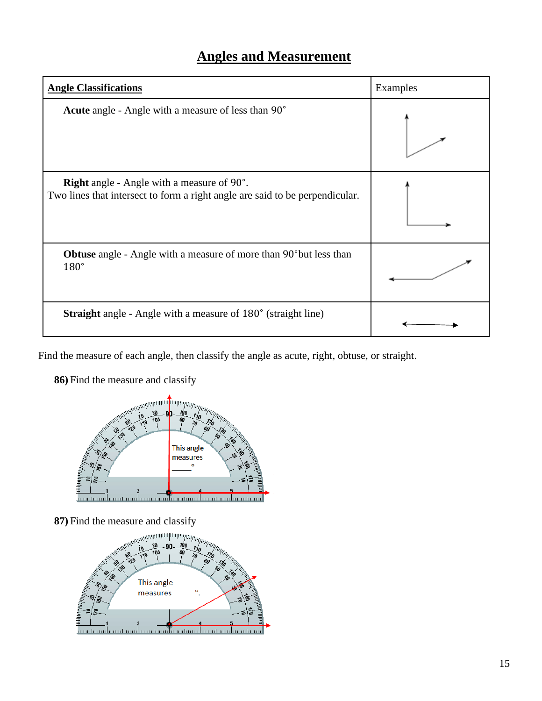## **Angles and Measurement**

| <b>Angle Classifications</b>                                                                                                      | Examples |
|-----------------------------------------------------------------------------------------------------------------------------------|----------|
| <b>Acute</b> angle - Angle with a measure of less than 90°                                                                        |          |
| <b>Right</b> angle - Angle with a measure of 90°.<br>Two lines that intersect to form a right angle are said to be perpendicular. |          |
| <b>Obtuse</b> angle - Angle with a measure of more than 90 <sup>°</sup> but less than<br>$180^\circ$                              |          |
| <b>Straight</b> angle - Angle with a measure of 180° (straight line)                                                              |          |

Find the measure of each angle, then classify the angle as acute, right, obtuse, or straight.

**86)** Find the measure and classify



**87)** Find the measure and classify

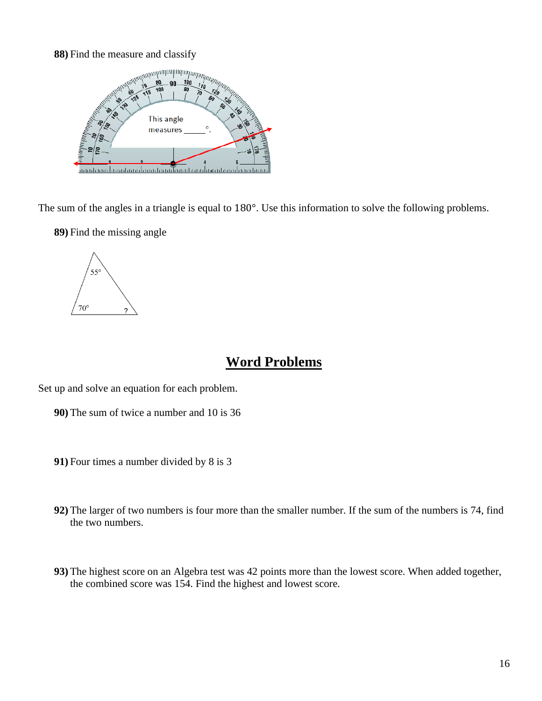#### **88)** Find the measure and classify



The sum of the angles in a triangle is equal to 180°. Use this information to solve the following problems.

**89)** Find the missing angle



#### **Word Problems**

Set up and solve an equation for each problem.

- **90)** The sum of twice a number and 10 is 36
- **91)** Four times a number divided by 8 is 3
- **92)** The larger of two numbers is four more than the smaller number. If the sum of the numbers is 74, find the two numbers.
- **93)** The highest score on an Algebra test was 42 points more than the lowest score. When added together, the combined score was 154. Find the highest and lowest score.